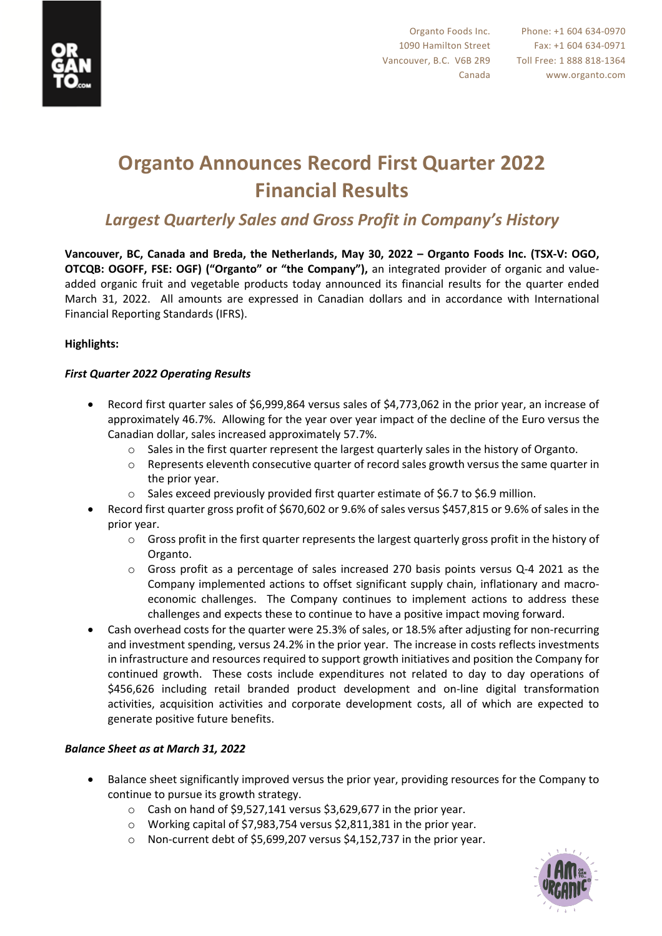

# **Organto Announces Record First Quarter 2022 Financial Results**

### *Largest Quarterly Sales and Gross Profit in Company's History*

**Vancouver, BC, Canada and Breda, the Netherlands, May 30, 2022 – Organto Foods Inc. (TSX-V: OGO, OTCQB: OGOFF, FSE: OGF) ("Organto" or "the Company"),** an integrated provider of organic and valueadded organic fruit and vegetable products today announced its financial results for the quarter ended March 31, 2022. All amounts are expressed in Canadian dollars and in accordance with International Financial Reporting Standards (IFRS).

#### **Highlights:**

#### *First Quarter 2022 Operating Results*

- Record first quarter sales of \$6,999,864 versus sales of \$4,773,062 in the prior year, an increase of approximately 46.7%. Allowing for the year over year impact of the decline of the Euro versus the Canadian dollar, sales increased approximately 57.7%.
	- $\circ$  Sales in the first quarter represent the largest quarterly sales in the history of Organto.
	- $\circ$  Represents eleventh consecutive quarter of record sales growth versus the same quarter in the prior year.
	- o Sales exceed previously provided first quarter estimate of \$6.7 to \$6.9 million.
- Record first quarter gross profit of \$670,602 or 9.6% of sales versus \$457,815 or 9.6% of sales in the prior year.
	- $\circ$  Gross profit in the first quarter represents the largest quarterly gross profit in the history of Organto.
	- o Gross profit as a percentage of sales increased 270 basis points versus Q-4 2021 as the Company implemented actions to offset significant supply chain, inflationary and macroeconomic challenges. The Company continues to implement actions to address these challenges and expects these to continue to have a positive impact moving forward.
- Cash overhead costs for the quarter were 25.3% of sales, or 18.5% after adjusting for non-recurring and investment spending, versus 24.2% in the prior year. The increase in costs reflects investments in infrastructure and resources required to support growth initiatives and position the Company for continued growth. These costs include expenditures not related to day to day operations of \$456,626 including retail branded product development and on-line digital transformation activities, acquisition activities and corporate development costs, all of which are expected to generate positive future benefits.

#### *Balance Sheet as at March 31, 2022*

- Balance sheet significantly improved versus the prior year, providing resources for the Company to continue to pursue its growth strategy.
	- $\circ$  Cash on hand of \$9,527,141 versus \$3,629,677 in the prior year.
	- o Working capital of \$7,983,754 versus \$2,811,381 in the prior year.
	- o Non-current debt of \$5,699,207 versus \$4,152,737 in the prior year.

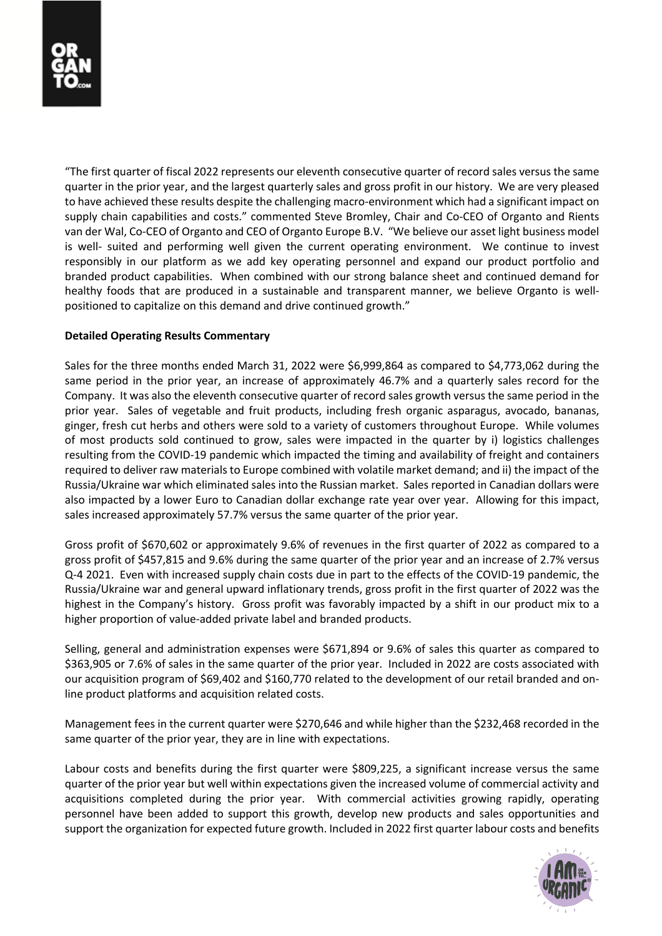"The first quarter of fiscal 2022 represents our eleventh consecutive quarter of record sales versus the same quarter in the prior year, and the largest quarterly sales and gross profit in our history. We are very pleased to have achieved these results despite the challenging macro-environment which had a significant impact on supply chain capabilities and costs." commented Steve Bromley, Chair and Co-CEO of Organto and Rients van der Wal, Co-CEO of Organto and CEO of Organto Europe B.V. "We believe our asset light business model is well- suited and performing well given the current operating environment. We continue to invest responsibly in our platform as we add key operating personnel and expand our product portfolio and branded product capabilities. When combined with our strong balance sheet and continued demand for healthy foods that are produced in a sustainable and transparent manner, we believe Organto is wellpositioned to capitalize on this demand and drive continued growth."

#### **Detailed Operating Results Commentary**

Sales for the three months ended March 31, 2022 were \$6,999,864 as compared to \$4,773,062 during the same period in the prior year, an increase of approximately 46.7% and a quarterly sales record for the Company. It was also the eleventh consecutive quarter of record sales growth versus the same period in the prior year. Sales of vegetable and fruit products, including fresh organic asparagus, avocado, bananas, ginger, fresh cut herbs and others were sold to a variety of customers throughout Europe. While volumes of most products sold continued to grow, sales were impacted in the quarter by i) logistics challenges resulting from the COVID-19 pandemic which impacted the timing and availability of freight and containers required to deliver raw materials to Europe combined with volatile market demand; and ii) the impact of the Russia/Ukraine war which eliminated sales into the Russian market. Sales reported in Canadian dollars were also impacted by a lower Euro to Canadian dollar exchange rate year over year. Allowing for this impact, sales increased approximately 57.7% versus the same quarter of the prior year.

Gross profit of \$670,602 or approximately 9.6% of revenues in the first quarter of 2022 as compared to a gross profit of \$457,815 and 9.6% during the same quarter of the prior year and an increase of 2.7% versus Q-4 2021. Even with increased supply chain costs due in part to the effects of the COVID-19 pandemic, the Russia/Ukraine war and general upward inflationary trends, gross profit in the first quarter of 2022 was the highest in the Company's history. Gross profit was favorably impacted by a shift in our product mix to a higher proportion of value-added private label and branded products.

Selling, general and administration expenses were \$671,894 or 9.6% of sales this quarter as compared to \$363,905 or 7.6% of sales in the same quarter of the prior year. Included in 2022 are costs associated with our acquisition program of \$69,402 and \$160,770 related to the development of our retail branded and online product platforms and acquisition related costs.

Management fees in the current quarter were \$270,646 and while higher than the \$232,468 recorded in the same quarter of the prior year, they are in line with expectations.

Labour costs and benefits during the first quarter were \$809,225, a significant increase versus the same quarter of the prior year but well within expectations given the increased volume of commercial activity and acquisitions completed during the prior year. With commercial activities growing rapidly, operating personnel have been added to support this growth, develop new products and sales opportunities and support the organization for expected future growth. Included in 2022 first quarter labour costs and benefits

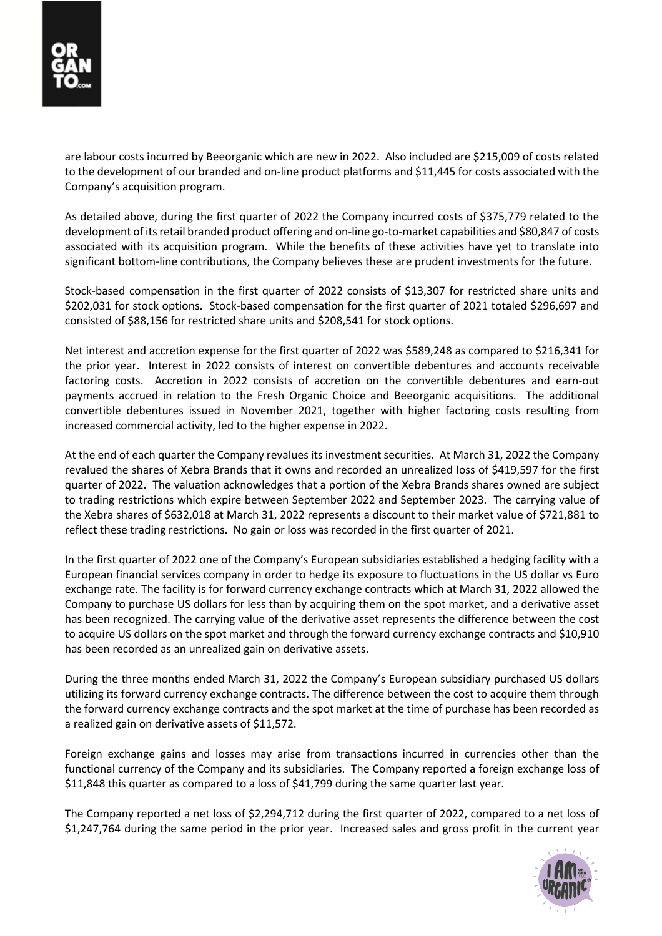are labour costs incurred by Beeorganic which are new in 2022. Also included are \$215,009 of costs related to the development of our branded and on-line product platforms and \$11,445 for costs associated with the Company's acquisition program.

As detailed above, during the first quarter of 2022 the Company incurred costs of \$375,779 related to the development of its retail branded product offering and on-line go-to-market capabilities and \$80,847 of costs associated with its acquisition program. While the benefits of these activities have yet to translate into significant bottom-line contributions, the Company believes these are prudent investments for the future.

Stock-based compensation in the first quarter of 2022 consists of \$13,307 for restricted share units and \$202,031 for stock options. Stock-based compensation for the first quarter of 2021 totaled \$296,697 and consisted of \$88,156 for restricted share units and \$208,541 for stock options.

Net interest and accretion expense for the first quarter of 2022 was \$589,248 as compared to \$216,341 for the prior year. Interest in 2022 consists of interest on convertible debentures and accounts receivable factoring costs. Accretion in 2022 consists of accretion on the convertible debentures and earn-out payments accrued in relation to the Fresh Organic Choice and Beeorganic acquisitions. The additional convertible debentures issued in November 2021, together with higher factoring costs resulting from increased commercial activity, led to the higher expense in 2022.

At the end of each quarter the Company revalues its investment securities. At March 31, 2022 the Company revalued the shares of Xebra Brands that it owns and recorded an unrealized loss of \$419,597 for the first quarter of 2022. The valuation acknowledges that a portion of the Xebra Brands shares owned are subject to trading restrictions which expire between September 2022 and September 2023. The carrying value of the Xebra shares of \$632,018 at March 31, 2022 represents a discount to their market value of \$721,881 to reflect these trading restrictions. No gain or loss was recorded in the first quarter of 2021.

In the first quarter of 2022 one of the Company's European subsidiaries established a hedging facility with a European financial services company in order to hedge its exposure to fluctuations in the US dollar vs Euro exchange rate. The facility is for forward currency exchange contracts which at March 31, 2022 allowed the Company to purchase US dollars for less than by acquiring them on the spot market, and a derivative asset has been recognized. The carrying value of the derivative asset represents the difference between the cost to acquire US dollars on the spot market and through the forward currency exchange contracts and \$10,910 has been recorded as an unrealized gain on derivative assets.

During the three months ended March 31, 2022 the Company's European subsidiary purchased US dollars utilizing its forward currency exchange contracts. The difference between the cost to acquire them through the forward currency exchange contracts and the spot market at the time of purchase has been recorded as a realized gain on derivative assets of \$11,572.

Foreign exchange gains and losses may arise from transactions incurred in currencies other than the functional currency of the Company and its subsidiaries. The Company reported a foreign exchange loss of \$11,848 this quarter as compared to a loss of \$41,799 during the same quarter last year.

The Company reported a net loss of \$2,294,712 during the first quarter of 2022, compared to a net loss of \$1,247,764 during the same period in the prior year. Increased sales and gross profit in the current year

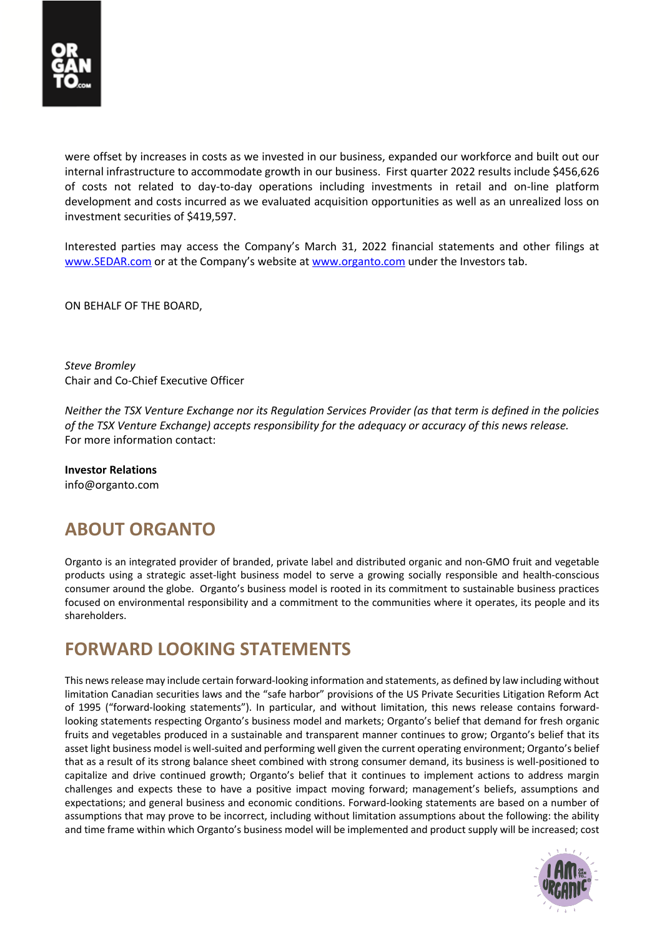

were offset by increases in costs as we invested in our business, expanded our workforce and built out our internal infrastructure to accommodate growth in our business. First quarter 2022 results include \$456,626 of costs not related to day-to-day operations including investments in retail and on-line platform development and costs incurred as we evaluated acquisition opportunities as well as an unrealized loss on investment securities of \$419,597.

Interested parties may access the Company's March 31, 2022 financial statements and other filings at www.SEDAR.com or at the Company's website at www.organto.com under the Investors tab.

ON BEHALF OF THE BOARD,

*Steve Bromley* Chair and Co-Chief Executive Officer

*Neither the TSX Venture Exchange nor its Regulation Services Provider (as that term is defined in the policies of the TSX Venture Exchange) accepts responsibility for the adequacy or accuracy of this news release.* For more information contact:

**Investor Relations** info@organto.com

## **ABOUT ORGANTO**

Organto is an integrated provider of branded, private label and distributed organic and non-GMO fruit and vegetable products using a strategic asset-light business model to serve a growing socially responsible and health-conscious consumer around the globe. Organto's business model is rooted in its commitment to sustainable business practices focused on environmental responsibility and a commitment to the communities where it operates, its people and its shareholders.

### **FORWARD LOOKING STATEMENTS**

This news release may include certain forward-looking information and statements, as defined by law including without limitation Canadian securities laws and the "safe harbor" provisions of the US Private Securities Litigation Reform Act of 1995 ("forward-looking statements"). In particular, and without limitation, this news release contains forwardlooking statements respecting Organto's business model and markets; Organto's belief that demand for fresh organic fruits and vegetables produced in a sustainable and transparent manner continues to grow; Organto's belief that its asset light business model is well-suited and performing well given the current operating environment; Organto's belief that as a result of its strong balance sheet combined with strong consumer demand, its business is well-positioned to capitalize and drive continued growth; Organto's belief that it continues to implement actions to address margin challenges and expects these to have a positive impact moving forward; management's beliefs, assumptions and expectations; and general business and economic conditions. Forward-looking statements are based on a number of assumptions that may prove to be incorrect, including without limitation assumptions about the following: the ability and time frame within which Organto's business model will be implemented and product supply will be increased; cost